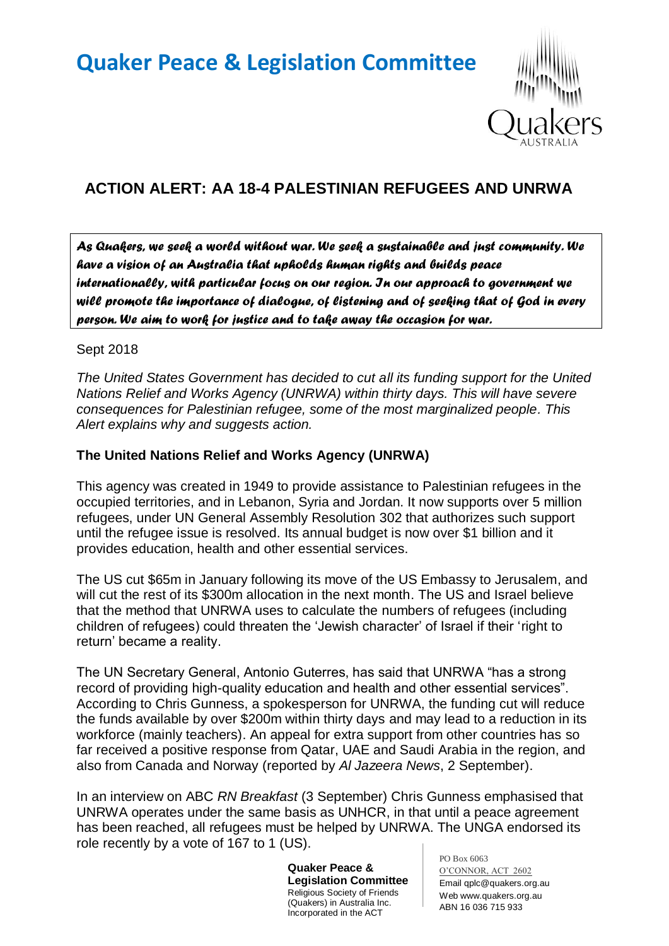# **Quaker Peace & Legislation Committee**



# **ACTION ALERT: AA 18-4 PALESTINIAN REFUGEES AND UNRWA**

*As Quakers, we seek a world without war. We seek a sustainable and just community. We have a vision of an Australia that upholds human rights and builds peace internationally, with particular focus on our region. In our approach to government we will promote the importance of dialogue, of listening and of seeking that of God in every person. We aim to work for justice and to take away the occasion for war.* 

#### Sept 2018

*The United States Government has decided to cut all its funding support for the United Nations Relief and Works Agency (UNRWA) within thirty days. This will have severe consequences for Palestinian refugee, some of the most marginalized people. This Alert explains why and suggests action.*

### **The United Nations Relief and Works Agency (UNRWA)**

This agency was created in 1949 to provide assistance to Palestinian refugees in the occupied territories, and in Lebanon, Syria and Jordan. It now supports over 5 million refugees, under UN General Assembly Resolution 302 that authorizes such support until the refugee issue is resolved. Its annual budget is now over \$1 billion and it provides education, health and other essential services.

The US cut \$65m in January following its move of the US Embassy to Jerusalem, and will cut the rest of its \$300m allocation in the next month. The US and Israel believe that the method that UNRWA uses to calculate the numbers of refugees (including children of refugees) could threaten the 'Jewish character' of Israel if their 'right to return' became a reality.

The UN Secretary General, Antonio Guterres, has said that UNRWA "has a strong record of providing high-quality education and health and other essential services". According to Chris Gunness, a spokesperson for UNRWA, the funding cut will reduce the funds available by over \$200m within thirty days and may lead to a reduction in its workforce (mainly teachers). An appeal for extra support from other countries has so far received a positive response from Qatar, UAE and Saudi Arabia in the region, and also from Canada and Norway (reported by *Al Jazeera News*, 2 September).

In an interview on ABC *RN Breakfast* (3 September) Chris Gunness emphasised that UNRWA operates under the same basis as UNHCR, in that until a peace agreement has been reached, all refugees must be helped by UNRWA. The UNGA endorsed its role recently by a vote of 167 to 1 (US).

> **Quaker Peace & Legislation Committee** Religious Society of Friends (Quakers) in Australia Inc. Incorporated in the ACT

PO Box 6063 O'CONNOR, ACT 2602 Email qplc@quakers.org.au Web www.quakers.org.au ABN 16 036 715 933